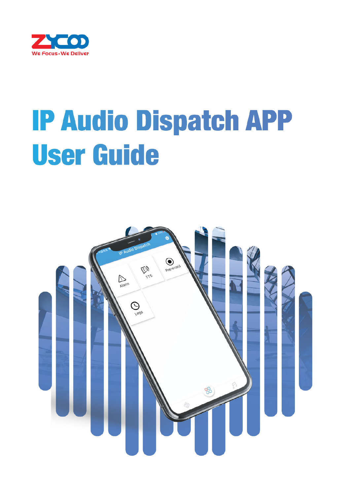

# **IP Audio Dispatch APP User Guide**

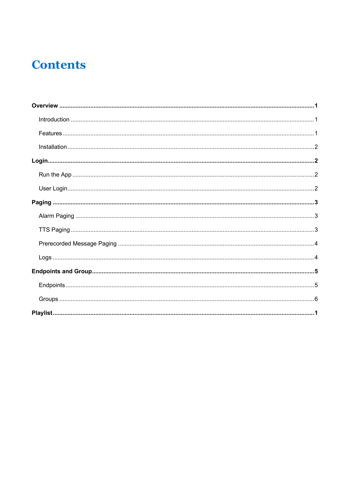# **Contents**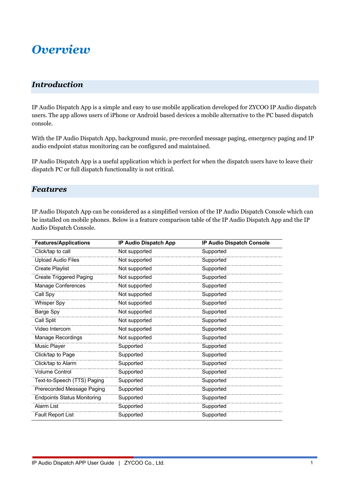### *Overview*

#### *Introduction*

IP Audio Dispatch App is a simple and easy to use mobile application developed for ZYCOO IP Audio dispatch users. The app allows users of iPhone or Android based devices a mobile alternative to the PC based dispatch console.

With the IP Audio Dispatch App, background music, pre-recorded message paging, emergency paging and IP audio endpoint status monitoring can be configured and maintained.

IP Audio Dispatch App is a useful application which is perfect for when the dispatch users have to leave their dispatch PC or full dispatch functionality is not critical.

#### *Features*

IP Audio Dispatch App can be considered as a simplified version of the IP Audio Dispatch Console which can be installed on mobile phones. Below is a feature comparison table of the IP Audio Dispatch App and the IP Audio Dispatch Console.

| <b>Features/Applications</b>       | <b>IP Audio Dispatch App</b> | IP Audio Dispatch Console |
|------------------------------------|------------------------------|---------------------------|
| Click/tap to call                  | Not supported                | Supported                 |
| <b>Upload Audio Files</b>          | Not supported                | Supported                 |
| <b>Create Playlist</b>             | Not supported                | Supported                 |
| <b>Create Triggered Paging</b>     | Not supported                | Supported                 |
| Manage Conferences                 | Not supported                | Supported                 |
| Call Spy                           | Not supported                | Supported                 |
| <b>Whisper Spy</b>                 | Not supported                | Supported                 |
| Barge Spy                          | Not supported                | Supported                 |
| Call Split                         | Not supported                | Supported                 |
| Video Intercom                     | Not supported                | Supported                 |
| Manage Recordings                  | Not supported                | Supported                 |
| Music Player                       | Supported                    | Supported                 |
| Click/tap to Page                  | Supported                    | Supported                 |
| Click/tap to Alarm                 | Supported                    | Supported                 |
| <b>Volume Control</b>              | Supported                    | Supported                 |
| Text-to-Speech (TTS) Paging        | Supported                    | Supported                 |
| Prerecorded Message Paging         | Supported                    | Supported                 |
| <b>Endpoints Status Monitoring</b> | Supported                    | Supported                 |
| Alarm List                         | Supported                    | Supported                 |
| <b>Fault Report List</b>           | Supported                    | Supported                 |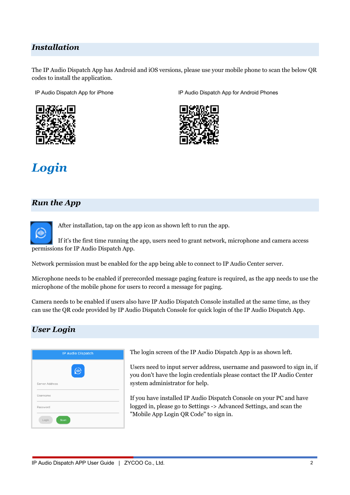#### *Installation*

The IP Audio Dispatch App has Android and iOS versions, please use your mobile phone to scan the below QR codes to install the application.

IP Audio Dispatch App for iPhone IP Audio Dispatch App for Android Phones





# *Login*

#### *Run the App*



After installation, tap on the app icon as shown left to run the app.

If it's the first time running the app, users need to grant network, microphone and camera access permissions for IP Audio Dispatch App.

Network permission must be enabled for the app being able to connect to IP Audio Center server.

Microphone needs to be enabled if prerecorded message paging feature is required, as the app needs to use the microphone of the mobile phone for users to record a message for paging.

Camera needs to be enabled if users also have IP Audio Dispatch Console installed at the same time, as they can use the QR code provided by IP Audio Dispatch Console for quick login of the IP Audio Dispatch App.

#### *User Login*



The login screen of the IP Audio Dispatch App is as shown left.

Users need to input server address, username and password to sign in, if you don't have the login credentials please contact the IP Audio Center system administrator for help.

If you have installed IP Audio Dispatch Console on your PC and have logged in, please go to Settings -> Advanced Settings, and scan the "Mobile App Login QR Code" to sign in.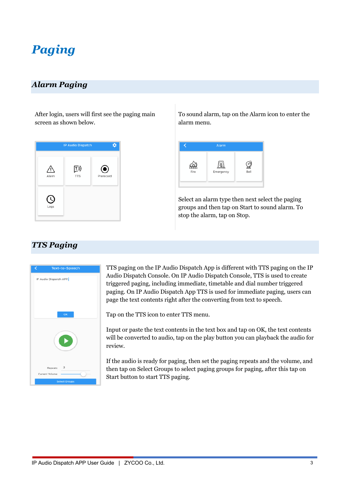## *Paging*

#### *Alarm Paging*

After login, users will first see the paging main screen as shown below.



To sound alarm, tap on the Alarm icon to enter the alarm menu.



Select an alarm type then next select the paging groups and then tap on Start to sound alarm. To stop the alarm, tap on Stop.

#### *TTS Paging*



TTS paging on the IP Audio Dispatch App is different with TTS paging on the IP Audio Dispatch Console. On IP Audio Dispatch Console, TTS is used to create triggered paging, including immediate, timetable and dial number triggered paging. On IP Audio Dispatch App TTS is used for immediate paging, users can page the text contents right after the converting from text to speech.

Tap on the TTS icon to enter TTS menu.

Input or paste the text contents in the text box and tap on OK, the text contents will be converted to audio, tap on the play button you can playback the audio for review.

If the audio is ready for paging, then set the paging repeats and the volume, and then tap on Select Groups to select paging groups for paging, after this tap on Start button to start TTS paging.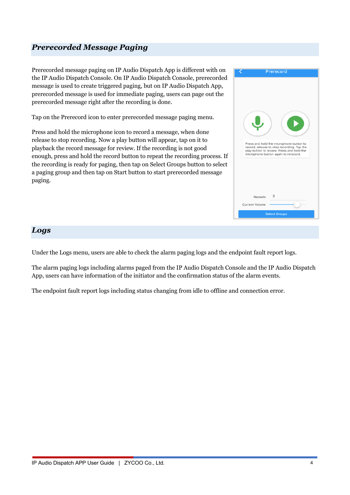#### *Prerecorded Message Paging*

Prerecorded message paging on IP Audio Dispatch App is different with on the IP Audio Dispatch Console. On IP Audio Dispatch Console, prerecorded message is used to create triggered paging, but on IP Audio Dispatch App, prerecorded message is used for immediate paging, users can page out the prerecorded message right after the recording is done.

Tap on the Prerecord icon to enter prerecorded message paging menu.

Press and hold the microphone icon to record a message, when done release to stop recording. Now a play button will appear, tap on it to playback the record message for review. If the recording is not good enough, press and hold the record button to repeat the recording process. If the recording is ready for paging, then tap on Select Groups button to select a paging group and then tap on Start button to start prerecorded message paging.



#### *Logs*

Under the Logs menu, users are able to check the alarm paging logs and the endpoint fault report logs.

The alarm paging logs including alarms paged from the IP Audio Dispatch Console and the IP Audio Dispatch App, users can have information of the initiator and the confirmation status of the alarm events.

The endpoint fault report logs including status changing from idle to offline and connection error.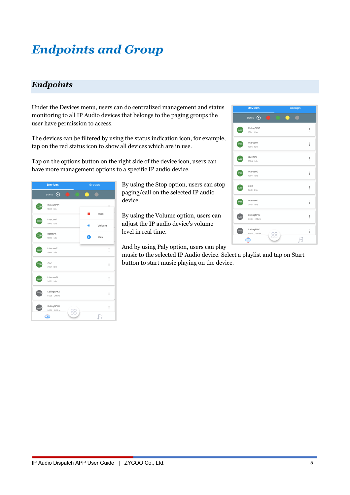# *Endpoints and Group*

#### *Endpoints*

Under the Devices menu, users can do centralized management and status monitoring to all IP Audio devices that belongs to the paging groups the user have permission to access.

The devices can be filtered by using the status indication icon, for example, tap on the red status icon to show all devices which are in use.

Tap on the options button on the right side of the device icon, users can have more management options to a specific IP audio device.



By using the Stop option, users can stop paging/call on the selected IP audio device.

By using the Volume option, users can adjust the IP audio device's volume level in real time.

And by using Paly option, users can play

music to the selected IP Audio device. Select a playlist and tap on Start button to start music playing on the device.

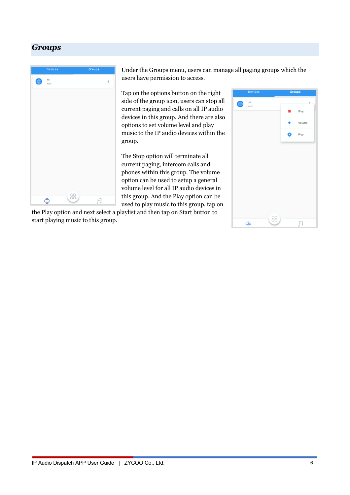#### *Groups*



Under the Groups menu, users can manage all paging groups which the users have permission to access.

Tap on the options button on the right side of the group icon, users can stop all current paging and calls on all IP audio devices in this group. And there are also options to set volume level and play music to the IP audio devices within the group.

The Stop option will terminate all current paging, intercom calls and phones within this group. The volume option can be used to setup a general volume level for all IP audio devices in this group. And the Play option can be used to play music to this group, tap on

the Play option and next select a playlist and then tap on Start button to start playing music to this group.